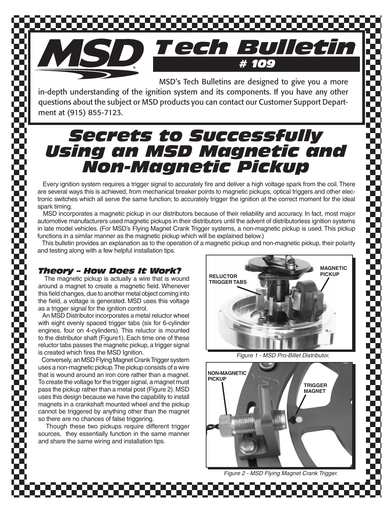

 MSD's Tech Bulletins are designed to give you a more in-depth understanding of the ignition system and its components. If you have any other questions about the subject or MSD products you can contact our Customer Support Department at (915) 855-7123.

# *Secrets to Successfully Using an MSD Magnetic and Non-Magnetic Pickup*

 Every ignition system requires a trigger signal to accurately fire and deliver a high voltage spark from the coil. There are several ways this is achieved, from mechanical breaker points to magnetic pickups, optical triggers and other electronic switches which all serve the same function; to accurately trigger the ignition at the correct moment for the ideal spark timing.

 MSD incorporates a magnetic pickup in our distributors because of their reliability and accuracy. In fact, most major automotive manufacturers used magnetic pickups in their distributors until the advent of distributorless ignition systems in late model vehicles. (For MSD's Flying Magnet Crank Trigger systems, a non-magnetic pickup is used. This pickup functions in a similar manner as the magnetic pickup which will be explained below.)

 This bulletin provides an explanation as to the operation of a magnetic pickup and non-magnetic pickup, their polarity and testing along with a few helpful installation tips.

# *Theory – How Does It Work?*

 The magnetic pickup is actually a wire that is wound around a magnet to create a magnetic field. Whenever this field changes, due to another metal object coming into the field, a voltage is generated. MSD uses this voltage as a trigger signal for the ignition control.

 An MSD Distributor incorporates a metal reluctor wheel with eight evenly spaced trigger tabs (six for 6-cylinder engines, four on 4-cylinders). This reluctor is mounted to the distributor shaft (Figure1). Each time one of these reluctor tabs passes the magnetic pickup, a trigger signal is created which fires the MSD Ignition.

 Conversely, an MSD Flying Magnet Crank Trigger system uses a non-magnetic pickup. The pickup consists of a wire that is wound around an iron core rather than a magnet. To create the voltage for the trigger signal, a magnet must pass the pickup rather than a metal post (Figure 2). MSD uses this design because we have the capability to install magnets in a crankshaft mounted wheel and the pickup cannot be triggered by anything other than the magnet so there are no chances of false triggering.

 Though these two pickups require different trigger sources, they essentially function in the same manner and share the same wiring and installation tips.



*Figure 1 - MSD Pro-Billet Distributor.*



*Figure 2 - MSD Flying Magnet Crank Trigger.*